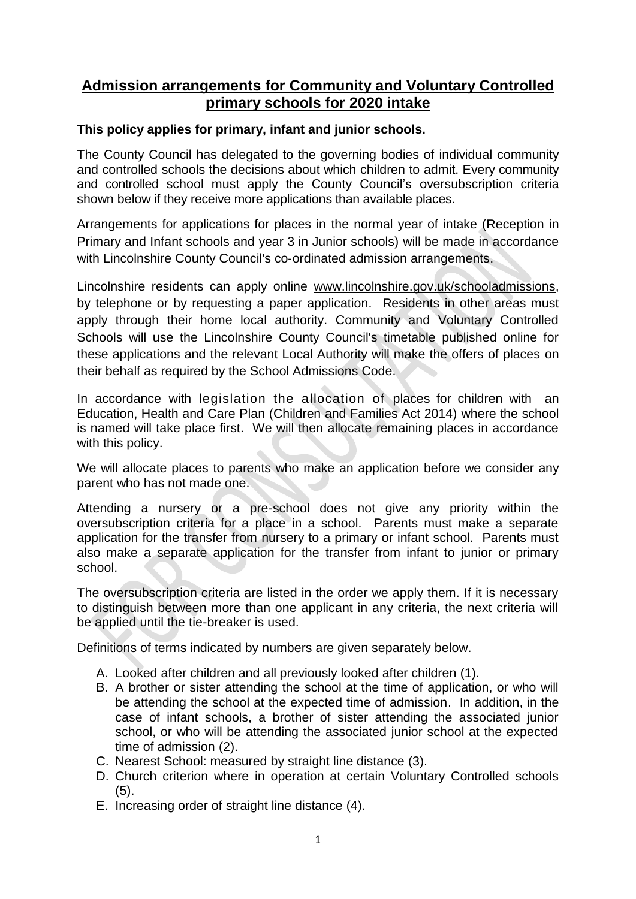# **Admission arrangements for Community and Voluntary Controlled primary schools for 2020 intake**

## **This policy applies for primary, infant and junior schools.**

The County Council has delegated to the governing bodies of individual community and controlled schools the decisions about which children to admit. Every community and controlled school must apply the County Council's oversubscription criteria shown below if they receive more applications than available places.

Arrangements for applications for places in the normal year of intake (Reception in Primary and Infant schools and year 3 in Junior schools) will be made in accordance with Lincolnshire County Council's co-ordinated admission arrangements.

Lincolnshire residents can apply online [www.lincolnshire.gov.uk/schooladmissions,](http://www.lincolnshire.gov.uk/schooladmissions) by telephone or by requesting a paper application. Residents in other areas must apply through their home local authority. Community and Voluntary Controlled Schools will use the Lincolnshire County Council's timetable published online for these applications and the relevant Local Authority will make the offers of places on their behalf as required by the School Admissions Code.

In accordance with legislation the allocation of places for children with an Education, Health and Care Plan (Children and Families Act 2014) where the school is named will take place first. We will then allocate remaining places in accordance with this policy.

We will allocate places to parents who make an application before we consider any parent who has not made one.

Attending a nursery or a pre-school does not give any priority within the oversubscription criteria for a place in a school. Parents must make a separate application for the transfer from nursery to a primary or infant school. Parents must also make a separate application for the transfer from infant to junior or primary school.

The oversubscription criteria are listed in the order we apply them. If it is necessary to distinguish between more than one applicant in any criteria, the next criteria will be applied until the tie-breaker is used.

Definitions of terms indicated by numbers are given separately below.

- A. Looked after children and all previously looked after children (1).
- B. A brother or sister attending the school at the time of application, or who will be attending the school at the expected time of admission. In addition, in the case of infant schools, a brother of sister attending the associated junior school, or who will be attending the associated junior school at the expected time of admission (2).
- C. Nearest School: measured by straight line distance (3).
- D. Church criterion where in operation at certain Voluntary Controlled schools  $(5)$ .
- E. Increasing order of straight line distance (4).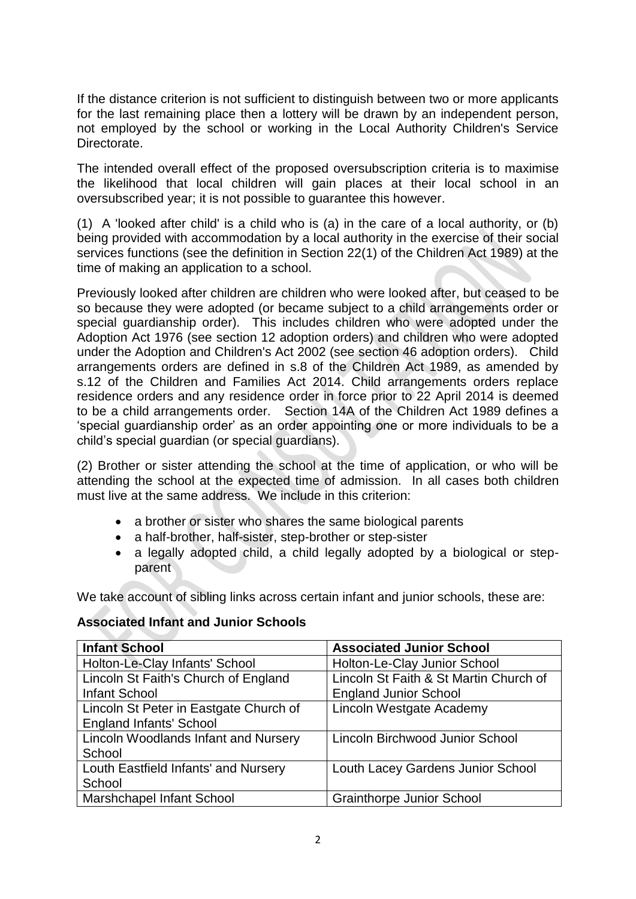If the distance criterion is not sufficient to distinguish between two or more applicants for the last remaining place then a lottery will be drawn by an independent person, not employed by the school or working in the Local Authority Children's Service Directorate.

The intended overall effect of the proposed oversubscription criteria is to maximise the likelihood that local children will gain places at their local school in an oversubscribed year; it is not possible to guarantee this however.

(1) A 'looked after child' is a child who is (a) in the care of a local authority, or (b) being provided with accommodation by a local authority in the exercise of their social services functions (see the definition in Section 22(1) of the Children Act 1989) at the time of making an application to a school.

Previously looked after children are children who were looked after, but ceased to be so because they were adopted (or became subject to a child arrangements order or special guardianship order). This includes children who were adopted under the Adoption Act 1976 (see section 12 adoption orders) and children who were adopted under the Adoption and Children's Act 2002 (see section 46 adoption orders). Child arrangements orders are defined in s.8 of the Children Act 1989, as amended by s.12 of the Children and Families Act 2014. Child arrangements orders replace residence orders and any residence order in force prior to 22 April 2014 is deemed to be a child arrangements order. Section 14A of the Children Act 1989 defines a 'special guardianship order' as an order appointing one or more individuals to be a child's special guardian (or special guardians).

(2) Brother or sister attending the school at the time of application, or who will be attending the school at the expected time of admission. In all cases both children must live at the same address. We include in this criterion:

- a brother or sister who shares the same biological parents
- a half-brother, half-sister, step-brother or step-sister
- a legally adopted child, a child legally adopted by a biological or stepparent

We take account of sibling links across certain infant and junior schools, these are:

### **Associated Infant and Junior Schools**

| <b>Infant School</b>                        | <b>Associated Junior School</b>        |
|---------------------------------------------|----------------------------------------|
| Holton-Le-Clay Infants' School              | Holton-Le-Clay Junior School           |
| Lincoln St Faith's Church of England        | Lincoln St Faith & St Martin Church of |
| <b>Infant School</b>                        | <b>England Junior School</b>           |
| Lincoln St Peter in Eastgate Church of      | Lincoln Westgate Academy               |
| <b>England Infants' School</b>              |                                        |
| <b>Lincoln Woodlands Infant and Nursery</b> | Lincoln Birchwood Junior School        |
| School                                      |                                        |
| Louth Eastfield Infants' and Nursery        | Louth Lacey Gardens Junior School      |
| School                                      |                                        |
| Marshchapel Infant School                   | <b>Grainthorpe Junior School</b>       |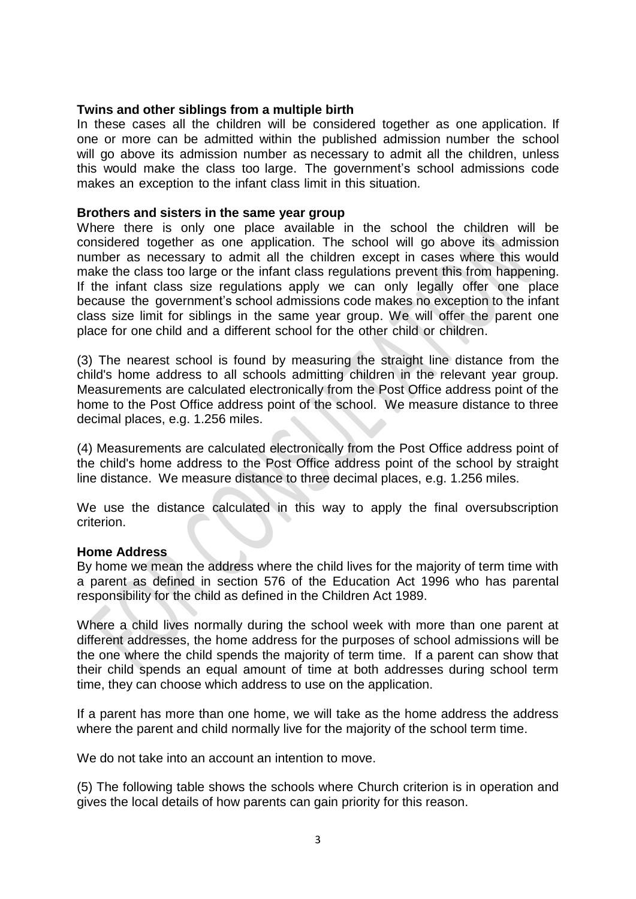#### **Twins and other siblings from a multiple birth**

In these cases all the children will be considered together as one application. If one or more can be admitted within the published admission number the school will go above its admission number as necessary to admit all the children, unless this would make the class too large. The government's school admissions code makes an exception to the infant class limit in this situation.

#### **Brothers and sisters in the same year group**

Where there is only one place available in the school the children will be considered together as one application. The school will go above its admission number as necessary to admit all the children except in cases where this would make the class too large or the infant class regulations prevent this from happening. If the infant class size regulations apply we can only legally offer one place because the government's school admissions code makes no exception to the infant class size limit for siblings in the same year group. We will offer the parent one place for one child and a different school for the other child or children.

(3) The nearest school is found by measuring the straight line distance from the child's home address to all schools admitting children in the relevant year group. Measurements are calculated electronically from the Post Office address point of the home to the Post Office address point of the school. We measure distance to three decimal places, e.g. 1.256 miles.

(4) Measurements are calculated electronically from the Post Office address point of the child's home address to the Post Office address point of the school by straight line distance. We measure distance to three decimal places, e.g. 1.256 miles.

We use the distance calculated in this way to apply the final oversubscription criterion.

#### **Home Address**

By home we mean the address where the child lives for the majority of term time with a parent as defined in section 576 of the Education Act 1996 who has parental responsibility for the child as defined in the Children Act 1989.

Where a child lives normally during the school week with more than one parent at different addresses, the home address for the purposes of school admissions will be the one where the child spends the majority of term time. If a parent can show that their child spends an equal amount of time at both addresses during school term time, they can choose which address to use on the application.

If a parent has more than one home, we will take as the home address the address where the parent and child normally live for the majority of the school term time.

We do not take into an account an intention to move.

(5) The following table shows the schools where Church criterion is in operation and gives the local details of how parents can gain priority for this reason.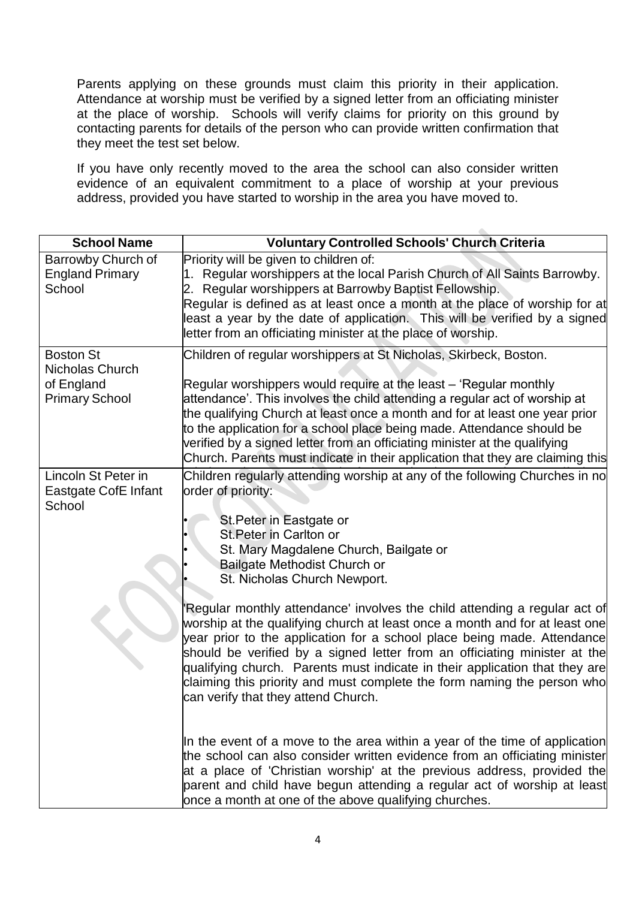Parents applying on these grounds must claim this priority in their application. Attendance at worship must be verified by a signed letter from an officiating minister at the place of worship. Schools will verify claims for priority on this ground by contacting parents for details of the person who can provide written confirmation that they meet the test set below.

If you have only recently moved to the area the school can also consider written evidence of an equivalent commitment to a place of worship at your previous address, provided you have started to worship in the area you have moved to.

| <b>School Name</b>                                                         | <b>Voluntary Controlled Schools' Church Criteria</b>                                                                                                                                                                                                                                                                                                                                                                                                                                                                                          |
|----------------------------------------------------------------------------|-----------------------------------------------------------------------------------------------------------------------------------------------------------------------------------------------------------------------------------------------------------------------------------------------------------------------------------------------------------------------------------------------------------------------------------------------------------------------------------------------------------------------------------------------|
| Barrowby Church of<br><b>England Primary</b><br>School                     | Priority will be given to children of:<br>1. Regular worshippers at the local Parish Church of All Saints Barrowby.<br>2. Regular worshippers at Barrowby Baptist Fellowship.<br>Regular is defined as at least once a month at the place of worship for at<br>least a year by the date of application. This will be verified by a signed<br>letter from an officiating minister at the place of worship.                                                                                                                                     |
| <b>Boston St</b><br>Nicholas Church<br>of England<br><b>Primary School</b> | Children of regular worshippers at St Nicholas, Skirbeck, Boston.<br>Regular worshippers would require at the least – 'Regular monthly<br>attendance'. This involves the child attending a regular act of worship at<br>the qualifying Church at least once a month and for at least one year prior<br>to the application for a school place being made. Attendance should be<br>verified by a signed letter from an officiating minister at the qualifying<br>Church. Parents must indicate in their application that they are claiming this |
| Lincoln St Peter in<br>Eastgate CofE Infant<br>School                      | Children regularly attending worship at any of the following Churches in no<br>order of priority:<br>St. Peter in Eastgate or<br>St. Peter in Carlton or<br>St. Mary Magdalene Church, Bailgate or<br>Bailgate Methodist Church or<br>St. Nicholas Church Newport.                                                                                                                                                                                                                                                                            |
|                                                                            | Regular monthly attendance' involves the child attending a regular act of<br>worship at the qualifying church at least once a month and for at least one<br>year prior to the application for a school place being made. Attendance<br>should be verified by a signed letter from an officiating minister at the<br>qualifying church. Parents must indicate in their application that they are<br>claiming this priority and must complete the form naming the person who<br>can verify that they attend Church.                             |
|                                                                            | In the event of a move to the area within a year of the time of application<br>the school can also consider written evidence from an officiating minister<br>at a place of 'Christian worship' at the previous address, provided the<br>parent and child have begun attending a regular act of worship at least<br>once a month at one of the above qualifying churches.                                                                                                                                                                      |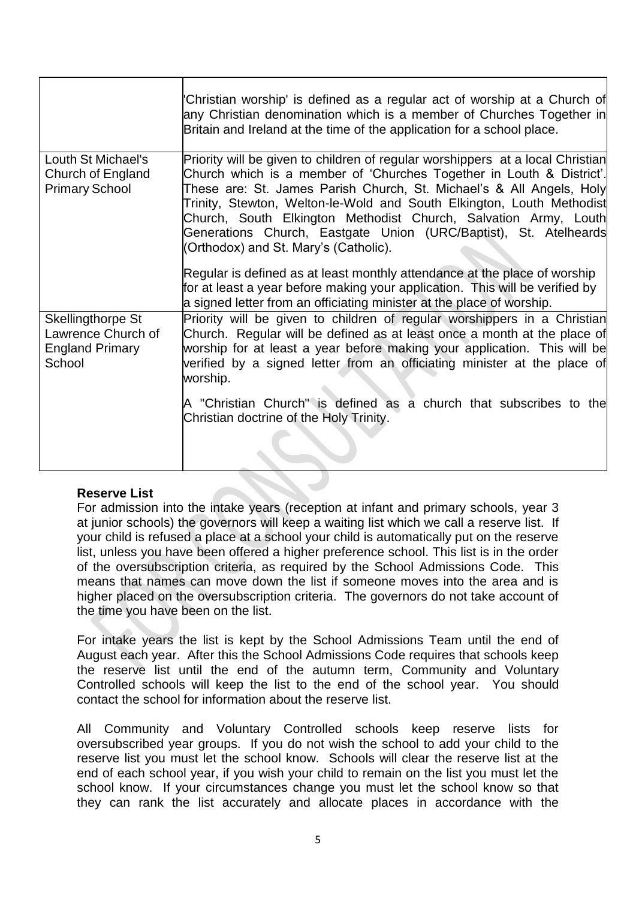|                                                                             | 'Christian worship' is defined as a regular act of worship at a Church of<br>any Christian denomination which is a member of Churches Together in<br>Britain and Ireland at the time of the application for a school place.                                                                                                                                                                                                                                                                                                                                                                                                                                                                                                   |
|-----------------------------------------------------------------------------|-------------------------------------------------------------------------------------------------------------------------------------------------------------------------------------------------------------------------------------------------------------------------------------------------------------------------------------------------------------------------------------------------------------------------------------------------------------------------------------------------------------------------------------------------------------------------------------------------------------------------------------------------------------------------------------------------------------------------------|
| Louth St Michael's<br>Church of England<br><b>Primary School</b>            | Priority will be given to children of regular worshippers at a local Christian<br>Church which is a member of 'Churches Together in Louth & District'.<br>These are: St. James Parish Church, St. Michael's & All Angels, Holy<br>Trinity, Stewton, Welton-le-Wold and South Elkington, Louth Methodist<br>Church, South Elkington Methodist Church, Salvation Army, Louth<br>Generations Church, Eastgate Union (URC/Baptist), St. Atelheards<br>(Orthodox) and St. Mary's (Catholic).<br>Regular is defined as at least monthly attendance at the place of worship<br>for at least a year before making your application. This will be verified by<br>a signed letter from an officiating minister at the place of worship. |
| Skellingthorpe St<br>Lawrence Church of<br><b>England Primary</b><br>School | Priority will be given to children of regular worshippers in a Christian<br>Church. Regular will be defined as at least once a month at the place of<br>worship for at least a year before making your application. This will be<br>verified by a signed letter from an officiating minister at the place of<br>worship.<br>A "Christian Church" is defined as a church that subscribes to the<br>Christian doctrine of the Holy Trinity.                                                                                                                                                                                                                                                                                     |

### **Reserve List**

For admission into the intake years (reception at infant and primary schools, year 3 at junior schools) the governors will keep a waiting list which we call a reserve list. If your child is refused a place at a school your child is automatically put on the reserve list, unless you have been offered a higher preference school. This list is in the order of the oversubscription criteria, as required by the School Admissions Code. This means that names can move down the list if someone moves into the area and is higher placed on the oversubscription criteria. The governors do not take account of the time you have been on the list.

For intake years the list is kept by the School Admissions Team until the end of August each year. After this the School Admissions Code requires that schools keep the reserve list until the end of the autumn term, Community and Voluntary Controlled schools will keep the list to the end of the school year. You should contact the school for information about the reserve list.

All Community and Voluntary Controlled schools keep reserve lists for oversubscribed year groups. If you do not wish the school to add your child to the reserve list you must let the school know. Schools will clear the reserve list at the end of each school year, if you wish your child to remain on the list you must let the school know. If your circumstances change you must let the school know so that they can rank the list accurately and allocate places in accordance with the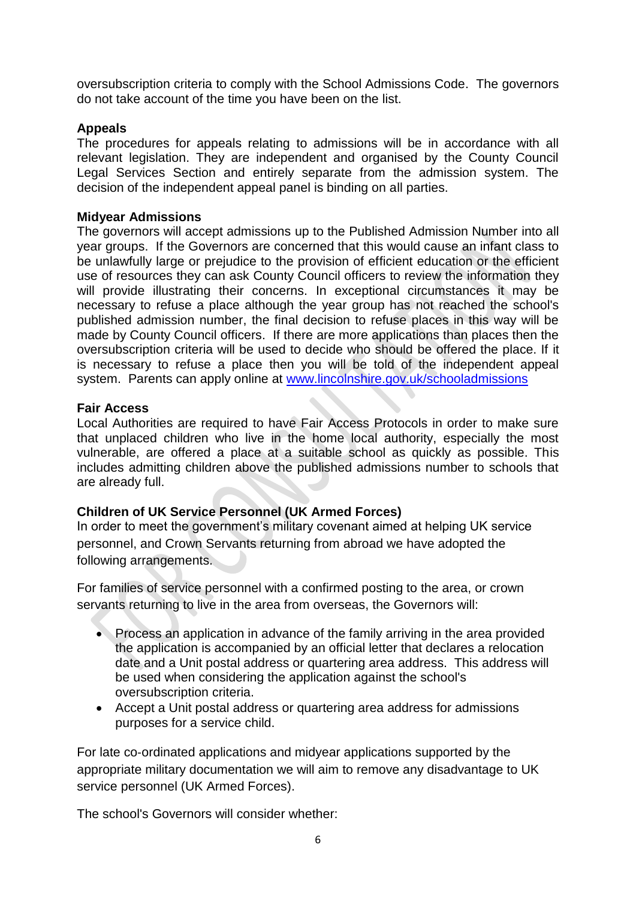oversubscription criteria to comply with the School Admissions Code. The governors do not take account of the time you have been on the list.

## **Appeals**

The procedures for appeals relating to admissions will be in accordance with all relevant legislation. They are independent and organised by the County Council Legal Services Section and entirely separate from the admission system. The decision of the independent appeal panel is binding on all parties.

#### **Midyear Admissions**

The governors will accept admissions up to the Published Admission Number into all year groups. If the Governors are concerned that this would cause an infant class to be unlawfully large or prejudice to the provision of efficient education or the efficient use of resources they can ask County Council officers to review the information they will provide illustrating their concerns. In exceptional circumstances it may be necessary to refuse a place although the year group has not reached the school's published admission number, the final decision to refuse places in this way will be made by County Council officers. If there are more applications than places then the oversubscription criteria will be used to decide who should be offered the place. If it is necessary to refuse a place then you will be told of the independent appeal system. Parents can apply online at [www.lincolnshire.gov.uk/schooladmissions](http://www.lincolnshire.gov.uk/schooladmissions)

#### **Fair Access**

Local Authorities are required to have Fair Access Protocols in order to make sure that unplaced children who live in the home local authority, especially the most vulnerable, are offered a place at a suitable school as quickly as possible. This includes admitting children above the published admissions number to schools that are already full.

### **Children of UK Service Personnel (UK Armed Forces)**

In order to meet the government's military covenant aimed at helping UK service personnel, and Crown Servants returning from abroad we have adopted the following arrangements.

For families of service personnel with a confirmed posting to the area, or crown servants returning to live in the area from overseas, the Governors will:

- Process an application in advance of the family arriving in the area provided the application is accompanied by an official letter that declares a relocation date and a Unit postal address or quartering area address. This address will be used when considering the application against the school's oversubscription criteria.
- Accept a Unit postal address or quartering area address for admissions purposes for a service child.

For late co-ordinated applications and midyear applications supported by the appropriate military documentation we will aim to remove any disadvantage to UK service personnel (UK Armed Forces).

The school's Governors will consider whether: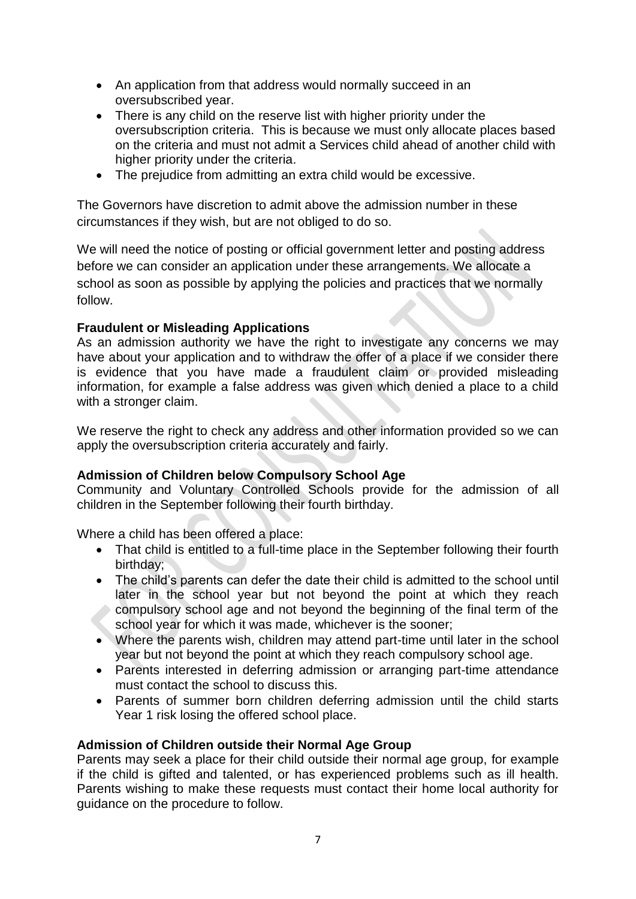- An application from that address would normally succeed in an oversubscribed year.
- There is any child on the reserve list with higher priority under the oversubscription criteria. This is because we must only allocate places based on the criteria and must not admit a Services child ahead of another child with higher priority under the criteria.
- The prejudice from admitting an extra child would be excessive.

The Governors have discretion to admit above the admission number in these circumstances if they wish, but are not obliged to do so.

We will need the notice of posting or official government letter and posting address before we can consider an application under these arrangements. We allocate a school as soon as possible by applying the policies and practices that we normally follow.

# **Fraudulent or Misleading Applications**

As an admission authority we have the right to investigate any concerns we may have about your application and to withdraw the offer of a place if we consider there is evidence that you have made a fraudulent claim or provided misleading information, for example a false address was given which denied a place to a child with a stronger claim.

We reserve the right to check any address and other information provided so we can apply the oversubscription criteria accurately and fairly.

# **Admission of Children below Compulsory School Age**

Community and Voluntary Controlled Schools provide for the admission of all children in the September following their fourth birthday.

Where a child has been offered a place:

- That child is entitled to a full-time place in the September following their fourth birthday;
- The child's parents can defer the date their child is admitted to the school until later in the school year but not beyond the point at which they reach compulsory school age and not beyond the beginning of the final term of the school year for which it was made, whichever is the sooner;
- Where the parents wish, children may attend part-time until later in the school year but not beyond the point at which they reach compulsory school age.
- Parents interested in deferring admission or arranging part-time attendance must contact the school to discuss this.
- Parents of summer born children deferring admission until the child starts Year 1 risk losing the offered school place.

# **Admission of Children outside their Normal Age Group**

Parents may seek a place for their child outside their normal age group, for example if the child is gifted and talented, or has experienced problems such as ill health. Parents wishing to make these requests must contact their home local authority for guidance on the procedure to follow.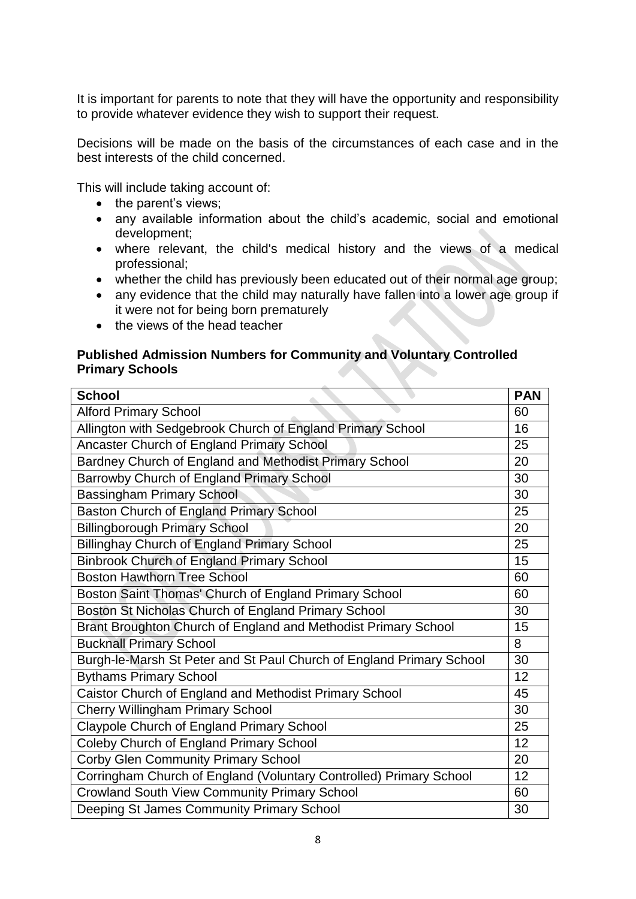It is important for parents to note that they will have the opportunity and responsibility to provide whatever evidence they wish to support their request.

Decisions will be made on the basis of the circumstances of each case and in the best interests of the child concerned.

This will include taking account of:

- the parent's views;
- any available information about the child's academic, social and emotional development;
- where relevant, the child's medical history and the views of a medical professional;
- whether the child has previously been educated out of their normal age group;
- any evidence that the child may naturally have fallen into a lower age group if it were not for being born prematurely
- the views of the head teacher

### **Published Admission Numbers for Community and Voluntary Controlled Primary Schools**

| <b>School</b>                                                        | <b>PAN</b> |
|----------------------------------------------------------------------|------------|
| <b>Alford Primary School</b>                                         |            |
| Allington with Sedgebrook Church of England Primary School           |            |
| Ancaster Church of England Primary School                            |            |
| Bardney Church of England and Methodist Primary School               | 20         |
| Barrowby Church of England Primary School                            |            |
| <b>Bassingham Primary School</b>                                     |            |
| Baston Church of England Primary School                              |            |
| <b>Billingborough Primary School</b>                                 | 20         |
| <b>Billinghay Church of England Primary School</b>                   | 25         |
| <b>Binbrook Church of England Primary School</b>                     | 15         |
| <b>Boston Hawthorn Tree School</b>                                   | 60         |
| Boston Saint Thomas' Church of England Primary School                | 60         |
| Boston St Nicholas Church of England Primary School                  | 30         |
| Brant Broughton Church of England and Methodist Primary School       | 15         |
| <b>Bucknall Primary School</b>                                       | 8          |
| Burgh-le-Marsh St Peter and St Paul Church of England Primary School | 30         |
| <b>Bythams Primary School</b>                                        | 12         |
| Caistor Church of England and Methodist Primary School               | 45         |
| <b>Cherry Willingham Primary School</b>                              | 30         |
| Claypole Church of England Primary School                            | 25         |
| Coleby Church of England Primary School                              | 12         |
| <b>Corby Glen Community Primary School</b>                           | 20         |
| Corringham Church of England (Voluntary Controlled) Primary School   | 12         |
| <b>Crowland South View Community Primary School</b>                  | 60         |
| Deeping St James Community Primary School                            | 30         |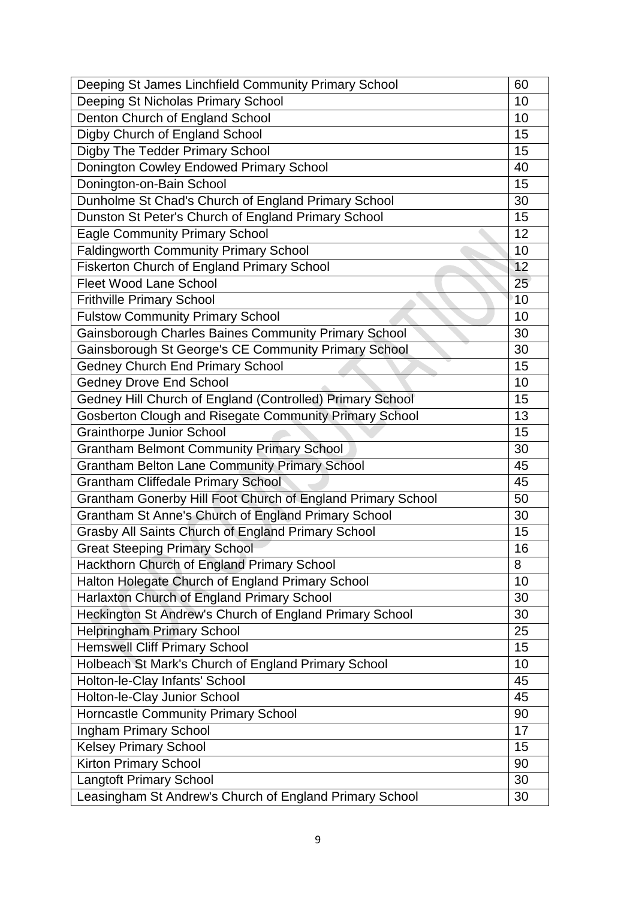| Deeping St James Linchfield Community Primary School        |    |
|-------------------------------------------------------------|----|
| Deeping St Nicholas Primary School                          |    |
| Denton Church of England School                             |    |
| Digby Church of England School                              |    |
| Digby The Tedder Primary School                             |    |
| Donington Cowley Endowed Primary School                     |    |
| Donington-on-Bain School                                    |    |
| Dunholme St Chad's Church of England Primary School         | 30 |
| Dunston St Peter's Church of England Primary School         | 15 |
| <b>Eagle Community Primary School</b>                       |    |
| <b>Faldingworth Community Primary School</b>                |    |
| Fiskerton Church of England Primary School                  | 12 |
| <b>Fleet Wood Lane School</b>                               | 25 |
| <b>Frithville Primary School</b>                            | 10 |
| <b>Fulstow Community Primary School</b>                     | 10 |
| Gainsborough Charles Baines Community Primary School        | 30 |
| Gainsborough St George's CE Community Primary School        | 30 |
| <b>Gedney Church End Primary School</b>                     | 15 |
| <b>Gedney Drove End School</b>                              | 10 |
| Gedney Hill Church of England (Controlled) Primary School   | 15 |
| Gosberton Clough and Risegate Community Primary School      | 13 |
| <b>Grainthorpe Junior School</b>                            | 15 |
| <b>Grantham Belmont Community Primary School</b>            | 30 |
| <b>Grantham Belton Lane Community Primary School</b>        | 45 |
| <b>Grantham Cliffedale Primary School</b>                   | 45 |
| Grantham Gonerby Hill Foot Church of England Primary School | 50 |
| Grantham St Anne's Church of England Primary School         |    |
| Grasby All Saints Church of England Primary School          |    |
| <b>Great Steeping Primary School</b>                        | 16 |
| Hackthorn Church of England Primary School                  | 8  |
| Halton Holegate Church of England Primary School            | 10 |
| Harlaxton Church of England Primary School                  | 30 |
| Heckington St Andrew's Church of England Primary School     | 30 |
| <b>Helpringham Primary School</b>                           | 25 |
| <b>Hemswell Cliff Primary School</b>                        | 15 |
| Holbeach St Mark's Church of England Primary School         | 10 |
| Holton-le-Clay Infants' School                              | 45 |
| Holton-le-Clay Junior School                                | 45 |
| Horncastle Community Primary School                         | 90 |
| Ingham Primary School                                       |    |
| <b>Kelsey Primary School</b>                                |    |
| Kirton Primary School                                       |    |
| <b>Langtoft Primary School</b>                              |    |
| Leasingham St Andrew's Church of England Primary School     |    |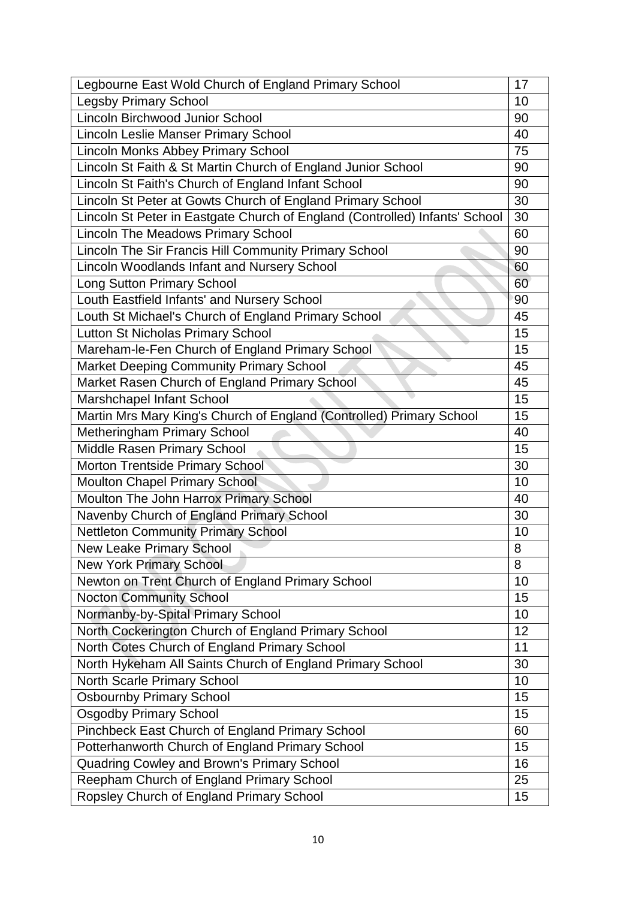| Legbourne East Wold Church of England Primary School                        |          |
|-----------------------------------------------------------------------------|----------|
| <b>Legsby Primary School</b>                                                |          |
| Lincoln Birchwood Junior School                                             |          |
| <b>Lincoln Leslie Manser Primary School</b>                                 |          |
| Lincoln Monks Abbey Primary School                                          |          |
| Lincoln St Faith & St Martin Church of England Junior School                |          |
| Lincoln St Faith's Church of England Infant School                          |          |
| Lincoln St Peter at Gowts Church of England Primary School                  |          |
| Lincoln St Peter in Eastgate Church of England (Controlled) Infants' School |          |
| <b>Lincoln The Meadows Primary School</b>                                   |          |
| Lincoln The Sir Francis Hill Community Primary School                       |          |
| <b>Lincoln Woodlands Infant and Nursery School</b>                          | 60       |
| <b>Long Sutton Primary School</b>                                           | 60       |
| Louth Eastfield Infants' and Nursery School                                 | 90       |
| Louth St Michael's Church of England Primary School                         | 45       |
| Lutton St Nicholas Primary School                                           | 15       |
| Mareham-le-Fen Church of England Primary School                             | 15       |
| <b>Market Deeping Community Primary School</b>                              | 45       |
| Market Rasen Church of England Primary School                               | 45       |
| Marshchapel Infant School                                                   | 15       |
| Martin Mrs Mary King's Church of England (Controlled) Primary School        | 15       |
| Metheringham Primary School                                                 | 40       |
| Middle Rasen Primary School                                                 |          |
| Morton Trentside Primary School                                             |          |
| <b>Moulton Chapel Primary School</b>                                        |          |
| Moulton The John Harrox Primary School                                      |          |
| Navenby Church of England Primary School                                    |          |
| <b>Nettleton Community Primary School</b>                                   |          |
| <b>New Leake Primary School</b>                                             |          |
| <b>New York Primary School</b>                                              |          |
| Newton on Trent Church of England Primary School                            | 10       |
| <b>Nocton Community School</b>                                              | 15       |
| Normanby-by-Spital Primary School                                           |          |
| North Cockerington Church of England Primary School                         | 12       |
| North Cotes Church of England Primary School                                |          |
| North Hykeham All Saints Church of England Primary School                   |          |
| North Scarle Primary School                                                 | 10       |
| <b>Osbournby Primary School</b>                                             |          |
| <b>Osgodby Primary School</b>                                               |          |
| Pinchbeck East Church of England Primary School                             |          |
| Potterhanworth Church of England Primary School                             |          |
| Quadring Cowley and Brown's Primary School                                  | 15<br>16 |
| Reepham Church of England Primary School                                    |          |
| Ropsley Church of England Primary School                                    | 25<br>15 |
|                                                                             |          |